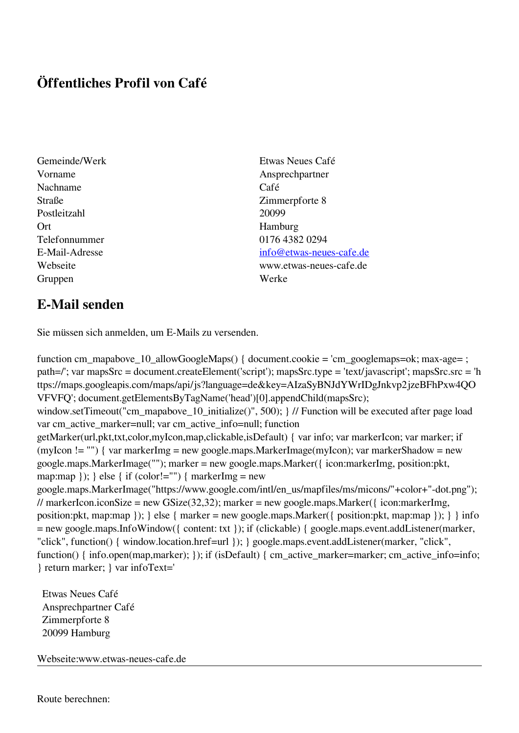## **Öffentliches Profil von Café**

- Nachname Café Straße Zimmerpforte 8 Postleitzahl 20099 Ort Hamburg Telefonnummer 0176 4382 0294 Gruppen Werke
- Gemeinde/Werk Etwas Neues Café Vorname Ansprechpartner E-Mail-Adresse [info@etwas-neues-cafe.de](mailto:info@etwas-neues-cafe.de) Webseite www.etwas-neues-cafe.de

## **E-Mail senden**

Sie müssen sich anmelden, um E-Mails zu versenden.

function cm\_mapabove\_10\_allowGoogleMaps() { document.cookie = 'cm\_googlemaps=ok; max-age= ; path=/'; var mapsSrc = document.createElement('script'); mapsSrc.type = 'text/javascript'; mapsSrc.src = 'h ttps://maps.googleapis.com/maps/api/js?language=de&key=AIzaSyBNJdYWrIDgJnkvp2jzeBFhPxw4QO VFVFQ'; document.getElementsByTagName('head')[0].appendChild(mapsSrc); window.setTimeout("cm\_mapabove\_10\_initialize()", 500); } // Function will be executed after page load var cm\_active\_marker=null; var cm\_active\_info=null; function getMarker(url,pkt,txt,color,myIcon,map,clickable,isDefault) { var info; var markerIcon; var marker; if (myIcon != "") { var markerImg = new google.maps.MarkerImage(myIcon); var markerShadow = new google.maps.MarkerImage(""); marker = new google.maps.Marker({ icon:markerImg, position:pkt, map:map  $\}$ ;  $\}$  else  $\{$  if (color!="")  $\{$  markerImg = new google.maps.MarkerImage("https://www.google.com/intl/en\_us/mapfiles/ms/micons/"+color+"-dot.png"); // markerIcon.iconSize = new GSize(32,32); marker = new google.maps.Marker({ $i$ con:markerImg, position:pkt, map:map }); } else { marker = new google.maps.Marker({ position:pkt, map:map }); } } info = new google.maps.InfoWindow({ content: txt }); if (clickable) { google.maps.event.addListener(marker, "click", function() { window.location.href=url }); } google.maps.event.addListener(marker, "click", function() { info.open(map,marker); }); if (isDefault) { cm\_active\_marker=marker; cm\_active\_info=info; } return marker; } var infoText='

 Etwas Neues Café Ansprechpartner Café Zimmerpforte 8 20099 Hamburg

Webseite:www.etwas-neues-cafe.de